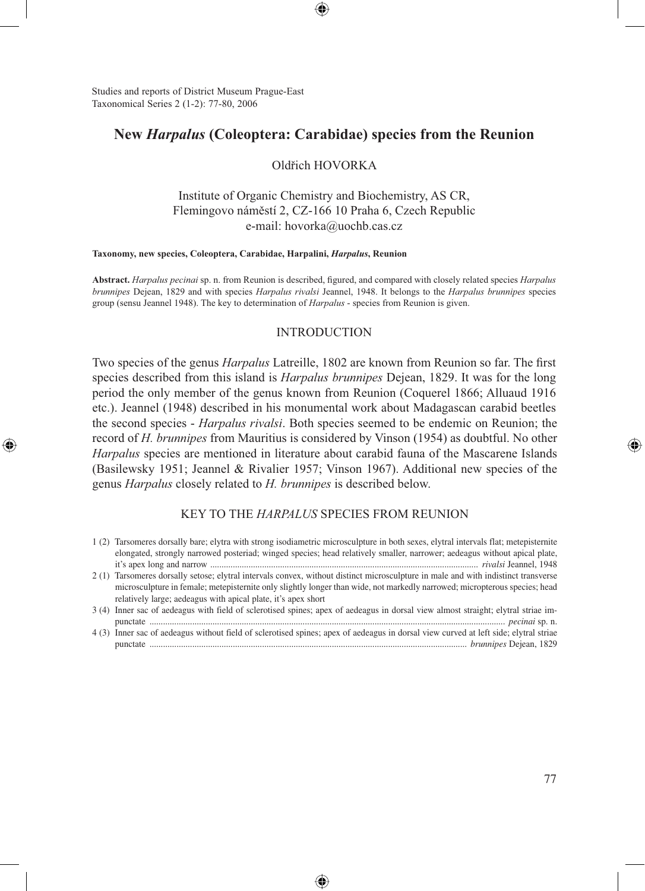Studies and reports of District Museum Prague-East Taxonomical Series 2 (1-2): 77-80, 2006

↔

## **New** *Harpalus* **(Coleoptera: Carabidae) species from the Reunion**

### Oldřich HOVORKA

Institute of Organic Chemistry and Biochemistry, AS CR, Flemingovo náměstí 2, CZ-166 10 Praha 6, Czech Republic e-mail: hovorka@uochb.cas.cz

#### **Taxonomy, new species, Coleoptera, Carabidae, Harpalini,** *Harpalus***, Reunion**

**Abstract.** *Harpalus pecinai* sp. n. from Reunion is described, figured, and compared with closely related species *Harpalus brunnipes* Dejean, 1829 and with species *Harpalus rivalsi* Jeannel, 1948. It belongs to the *Harpalus brunnipes* species group (sensu Jeannel 1948). The key to determination of *Harpalus* - species from Reunion is given.

#### INTRODUCTION

Two species of the genus *Harpalus* Latreille, 1802 are known from Reunion so far. The first species described from this island is *Harpalus brunnipes* Dejean, 1829. It was for the long period the only member of the genus known from Reunion (Coquerel 1866; Alluaud 1916 etc.). Jeannel (1948) described in his monumental work about Madagascan carabid beetles the second species - *Harpalus rivalsi*. Both species seemed to be endemic on Reunion; the record of *H. brunnipes* from Mauritius is considered by Vinson (1954) as doubtful. No other *Harpalus* species are mentioned in literature about carabid fauna of the Mascarene Islands (Basilewsky 1951; Jeannel & Rivalier 1957; Vinson 1967). Additional new species of the genus *Harpalus* closely related to *H. brunnipes* is described below.

## KEY TO THE *HARPALUS* SPECIES FROM REUNION

- 1 (2) Tarsomeres dorsally bare; elytra with strong isodiametric microsculpture in both sexes, elytral intervals flat; metepisternite elongated, strongly narrowed posteriad; winged species; head relatively smaller, narrower; aedeagus without apical plate, it's apex long and narrow ....................................................................................................................... *rivalsi* Jeannel, 1948
- 2 (1) Tarsomeres dorsally setose; elytral intervals convex, without distinct microsculpture in male and with indistinct transverse microsculpture in female; metepisternite only slightly longer than wide, not markedly narrowed; micropterous species; head relatively large; aedeagus with apical plate, it's apex short
- 3 (4) Inner sac of aedeagus with field of sclerotised spines; apex of aedeagus in dorsal view almost straight; elytral striae impunctate .............................................................................................................................................................. *pecinai* sp. n.
- 4 (3) Inner sac of aedeagus without field of sclerotised spines; apex of aedeagus in dorsal view curved at left side; elytral striae punctate ............................................................................................................................................. *brunnipes* Dejean, 1829

♠

⊕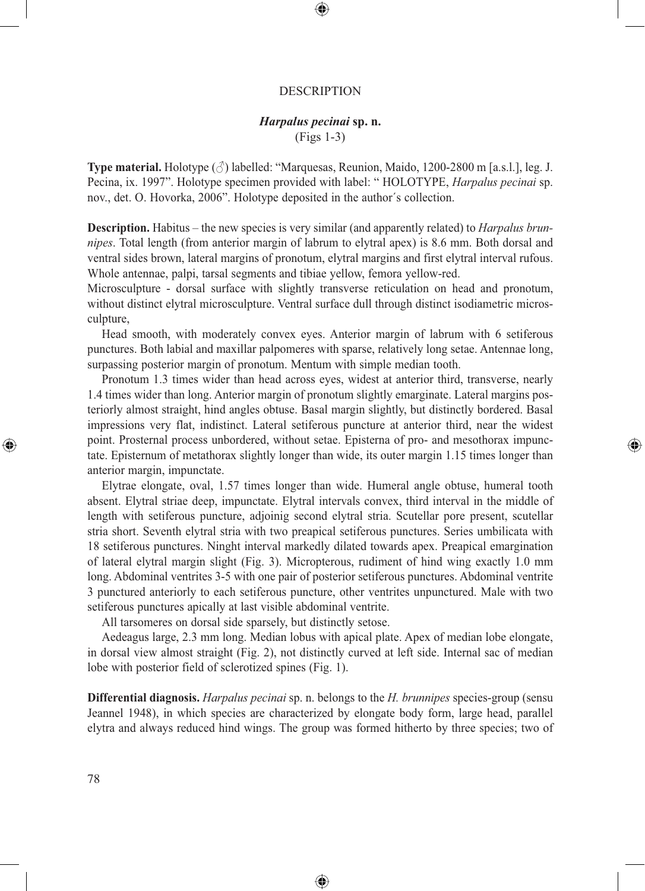#### DESCRIPTION

◈

# *Harpalus pecinai* **sp. n.**

(Figs 1-3)

**Type material.** Holotype  $(\vec{\zeta})$  labelled: "Marquesas, Reunion, Maido, 1200-2800 m [a.s.l.], leg. J. Pecina, ix. 1997". Holotype specimen provided with label: " HOLOTYPE, *Harpalus pecinai* sp. nov., det. O. Hovorka, 2006". Holotype deposited in the author´s collection.

**Description.** Habitus – the new species is very similar (and apparently related) to *Harpalus brunnipes*. Total length (from anterior margin of labrum to elytral apex) is 8.6 mm. Both dorsal and ventral sides brown, lateral margins of pronotum, elytral margins and first elytral interval rufous. Whole antennae, palpi, tarsal segments and tibiae yellow, femora yellow-red.

Microsculpture - dorsal surface with slightly transverse reticulation on head and pronotum, without distinct elytral microsculpture. Ventral surface dull through distinct isodiametric microsculpture,

Head smooth, with moderately convex eyes. Anterior margin of labrum with 6 setiferous punctures. Both labial and maxillar palpomeres with sparse, relatively long setae. Antennae long, surpassing posterior margin of pronotum. Mentum with simple median tooth.

Pronotum 1.3 times wider than head across eyes, widest at anterior third, transverse, nearly 1.4 times wider than long. Anterior margin of pronotum slightly emarginate. Lateral margins posteriorly almost straight, hind angles obtuse. Basal margin slightly, but distinctly bordered. Basal impressions very flat, indistinct. Lateral setiferous puncture at anterior third, near the widest point. Prosternal process unbordered, without setae. Episterna of pro- and mesothorax impunctate. Episternum of metathorax slightly longer than wide, its outer margin 1.15 times longer than anterior margin, impunctate.

⊕

Elytrae elongate, oval, 1.57 times longer than wide. Humeral angle obtuse, humeral tooth absent. Elytral striae deep, impunctate. Elytral intervals convex, third interval in the middle of length with setiferous puncture, adjoinig second elytral stria. Scutellar pore present, scutellar stria short. Seventh elytral stria with two preapical setiferous punctures. Series umbilicata with 18 setiferous punctures. Ninght interval markedly dilated towards apex. Preapical emargination of lateral elytral margin slight (Fig. 3). Micropterous, rudiment of hind wing exactly 1.0 mm long. Abdominal ventrites 3-5 with one pair of posterior setiferous punctures. Abdominal ventrite 3 punctured anteriorly to each setiferous puncture, other ventrites unpunctured. Male with two setiferous punctures apically at last visible abdominal ventrite.

All tarsomeres on dorsal side sparsely, but distinctly setose.

Aedeagus large, 2.3 mm long. Median lobus with apical plate. Apex of median lobe elongate, in dorsal view almost straight (Fig. 2), not distinctly curved at left side. Internal sac of median lobe with posterior field of sclerotized spines (Fig. 1).

**Differential diagnosis.** *Harpalus pecinai* sp. n. belongs to the *H. brunnipes* species-group (sensu Jeannel 1948), in which species are characterized by elongate body form, large head, parallel elytra and always reduced hind wings. The group was formed hitherto by three species; two of

⊕

⊕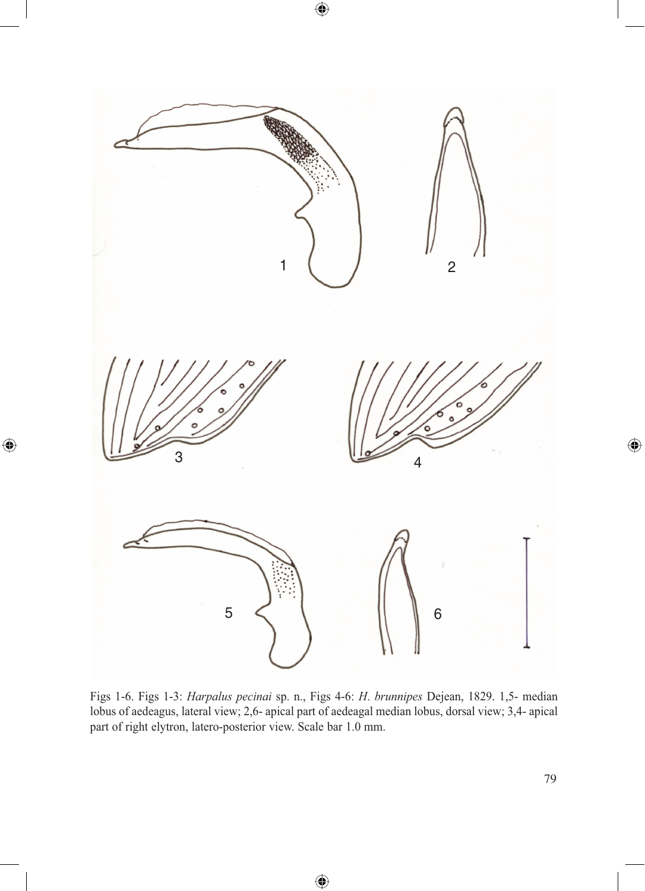

 $\bigoplus$ 

 $\bigoplus$ 

Figs 1-6. Figs 1-3: *Harpalus pecinai* sp. n., Figs 4-6: *H*. *brunnipes* Dejean, 1829. 1,5- median lobus of aedeagus, lateral view; 2,6- apical part of aedeagal median lobus, dorsal view; 3,4- apical part of right elytron, latero-posterior view. Scale bar 1.0 mm.

 $\bigoplus$ 

 $\bigoplus$